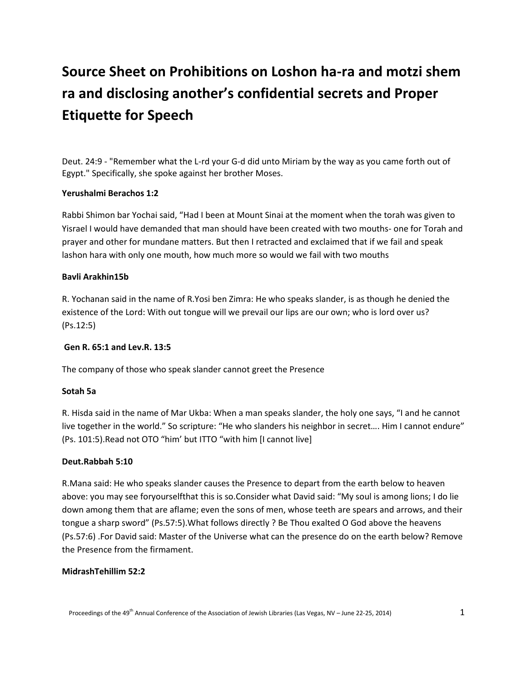# **Source Sheet on Prohibitions on Loshon ha-ra and motzi shem ra and disclosing another's confidential secrets and Proper Etiquette for Speech**

Deut. 24:9 - "Remember what the L-rd your G-d did unto Miriam by the way as you came forth out of Egypt." Specifically, she spoke against her brother Moses.

## **Yerushalmi Berachos 1:2**

Rabbi Shimon bar Yochai said, "Had I been at Mount Sinai at the moment when the torah was given to Yisrael I would have demanded that man should have been created with two mouths- one for Torah and prayer and other for mundane matters. But then I retracted and exclaimed that if we fail and speak lashon hara with only one mouth, how much more so would we fail with two mouths

## **Bavli Arakhin15b**

R. Yochanan said in the name of R.Yosi ben Zimra: He who speaks slander, is as though he denied the existence of the Lord: With out tongue will we prevail our lips are our own; who is lord over us? (Ps.12:5)

#### **Gen R. 65:1 and Lev.R. 13:5**

The company of those who speak slander cannot greet the Presence

#### **Sotah 5a**

R. Hisda said in the name of Mar Ukba: When a man speaks slander, the holy one says, "I and he cannot live together in the world." So scripture: "He who slanders his neighbor in secret…. Him I cannot endure" (Ps. 101:5).Read not OTO "him' but ITTO "with him [I cannot live]

#### **Deut.Rabbah 5:10**

R.Mana said: He who speaks slander causes the Presence to depart from the earth below to heaven above: you may see foryourselfthat this is so.Consider what David said: "My soul is among lions; I do lie down among them that are aflame; even the sons of men, whose teeth are spears and arrows, and their tongue a sharp sword" (Ps.57:5).What follows directly ? Be Thou exalted O God above the heavens (Ps.57:6) .For David said: Master of the Universe what can the presence do on the earth below? Remove the Presence from the firmament.

#### **MidrashTehillim 52:2**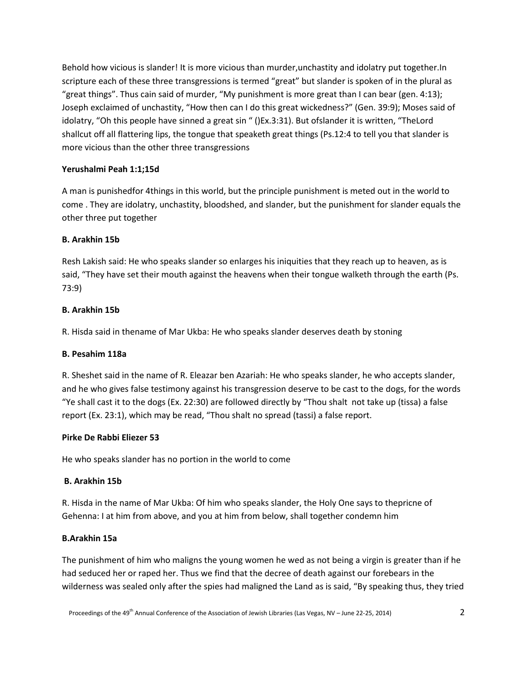Behold how vicious is slander! It is more vicious than murder,unchastity and idolatry put together.In scripture each of these three transgressions is termed "great" but slander is spoken of in the plural as "great things". Thus cain said of murder, "My punishment is more great than I can bear (gen. 4:13); Joseph exclaimed of unchastity, "How then can I do this great wickedness?" (Gen. 39:9); Moses said of idolatry, "Oh this people have sinned a great sin " ()Ex.3:31). But ofslander it is written, "TheLord shallcut off all flattering lips, the tongue that speaketh great things (Ps.12:4 to tell you that slander is more vicious than the other three transgressions

## **Yerushalmi Peah 1:1;15d**

A man is punishedfor 4things in this world, but the principle punishment is meted out in the world to come . They are idolatry, unchastity, bloodshed, and slander, but the punishment for slander equals the other three put together

## **B. Arakhin 15b**

Resh Lakish said: He who speaks slander so enlarges his iniquities that they reach up to heaven, as is said, "They have set their mouth against the heavens when their tongue walketh through the earth (Ps. 73:9)

## **B. Arakhin 15b**

R. Hisda said in thename of Mar Ukba: He who speaks slander deserves death by stoning

## **B. Pesahim 118a**

R. Sheshet said in the name of R. Eleazar ben Azariah: He who speaks slander, he who accepts slander, and he who gives false testimony against his transgression deserve to be cast to the dogs, for the words "Ye shall cast it to the dogs (Ex. 22:30) are followed directly by "Thou shalt not take up (tissa) a false report (Ex. 23:1), which may be read, "Thou shalt no spread (tassi) a false report.

## **Pirke De Rabbi Eliezer 53**

He who speaks slander has no portion in the world to come

## **B. Arakhin 15b**

R. Hisda in the name of Mar Ukba: Of him who speaks slander, the Holy One says to thepricne of Gehenna: I at him from above, and you at him from below, shall together condemn him

## **B.Arakhin 15a**

The punishment of him who maligns the young women he wed as not being a virgin is greater than if he had seduced her or raped her. Thus we find that the decree of death against our forebears in the wilderness was sealed only after the spies had maligned the Land as is said, "By speaking thus, they tried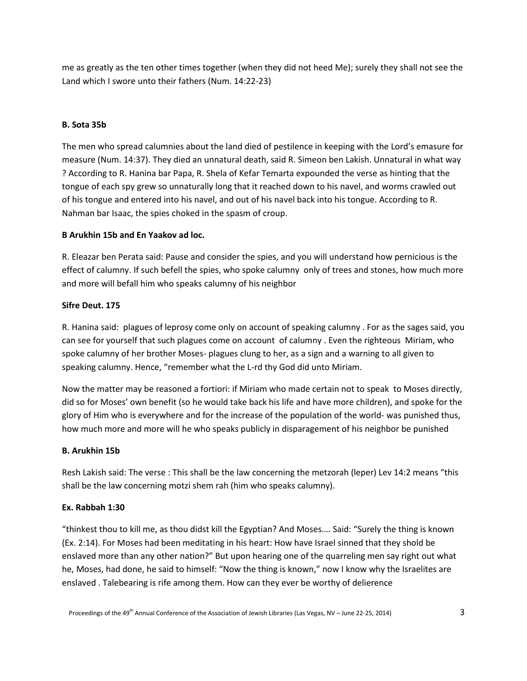me as greatly as the ten other times together (when they did not heed Me); surely they shall not see the Land which I swore unto their fathers (Num. 14:22-23)

## **B. Sota 35b**

The men who spread calumnies about the land died of pestilence in keeping with the Lord's emasure for measure (Num. 14:37). They died an unnatural death, said R. Simeon ben Lakish. Unnatural in what way ? According to R. Hanina bar Papa, R. Shela of Kefar Temarta expounded the verse as hinting that the tongue of each spy grew so unnaturally long that it reached down to his navel, and worms crawled out of his tongue and entered into his navel, and out of his navel back into his tongue. According to R. Nahman bar Isaac, the spies choked in the spasm of croup.

## **B Arukhin 15b and En Yaakov ad loc.**

R. Eleazar ben Perata said: Pause and consider the spies, and you will understand how pernicious is the effect of calumny. If such befell the spies, who spoke calumny only of trees and stones, how much more and more will befall him who speaks calumny of his neighbor

## **Sifre Deut. 175**

R. Hanina said: plagues of leprosy come only on account of speaking calumny . For as the sages said, you can see for yourself that such plagues come on account of calumny . Even the righteous Miriam, who spoke calumny of her brother Moses- plagues clung to her, as a sign and a warning to all given to speaking calumny. Hence, "remember what the L-rd thy God did unto Miriam.

Now the matter may be reasoned a fortiori: if Miriam who made certain not to speak to Moses directly, did so for Moses' own benefit (so he would take back his life and have more children), and spoke for the glory of Him who is everywhere and for the increase of the population of the world- was punished thus, how much more and more will he who speaks publicly in disparagement of his neighbor be punished

## **B. Arukhin 15b**

Resh Lakish said: The verse : This shall be the law concerning the metzorah (leper) Lev 14:2 means "this shall be the law concerning motzi shem rah (him who speaks calumny).

## **Ex. Rabbah 1:30**

"thinkest thou to kill me, as thou didst kill the Egyptian? And Moses…. Said: "Surely the thing is known (Ex. 2:14). For Moses had been meditating in his heart: How have Israel sinned that they shold be enslaved more than any other nation?" But upon hearing one of the quarreling men say right out what he, Moses, had done, he said to himself: "Now the thing is known," now I know why the Israelites are enslaved . Talebearing is rife among them. How can they ever be worthy of delierence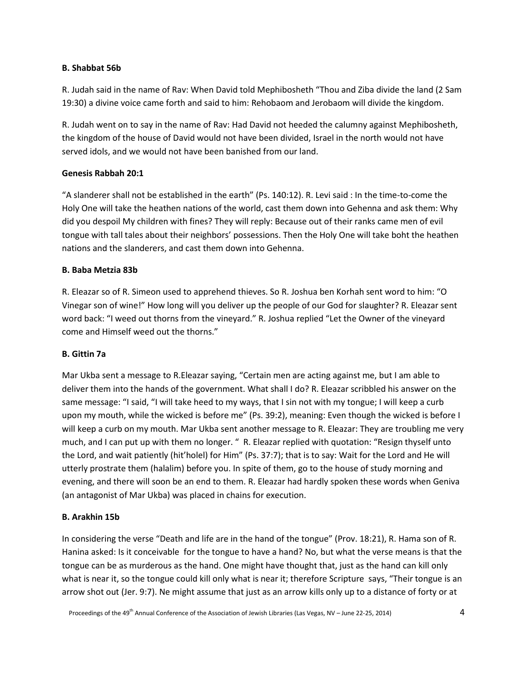## **B. Shabbat 56b**

R. Judah said in the name of Rav: When David told Mephibosheth "Thou and Ziba divide the land (2 Sam 19:30) a divine voice came forth and said to him: Rehobaom and Jerobaom will divide the kingdom.

R. Judah went on to say in the name of Rav: Had David not heeded the calumny against Mephibosheth, the kingdom of the house of David would not have been divided, Israel in the north would not have served idols, and we would not have been banished from our land.

## **Genesis Rabbah 20:1**

"A slanderer shall not be established in the earth" (Ps. 140:12). R. Levi said : In the time-to-come the Holy One will take the heathen nations of the world, cast them down into Gehenna and ask them: Why did you despoil My children with fines? They will reply: Because out of their ranks came men of evil tongue with tall tales about their neighbors' possessions. Then the Holy One will take boht the heathen nations and the slanderers, and cast them down into Gehenna.

## **B. Baba Metzia 83b**

R. Eleazar so of R. Simeon used to apprehend thieves. So R. Joshua ben Korhah sent word to him: "O Vinegar son of wine!" How long will you deliver up the people of our God for slaughter? R. Eleazar sent word back: "I weed out thorns from the vineyard." R. Joshua replied "Let the Owner of the vineyard come and Himself weed out the thorns."

#### **B. Gittin 7a**

Mar Ukba sent a message to R.Eleazar saying, "Certain men are acting against me, but I am able to deliver them into the hands of the government. What shall I do? R. Eleazar scribbled his answer on the same message: "I said, "I will take heed to my ways, that I sin not with my tongue; I will keep a curb upon my mouth, while the wicked is before me" (Ps. 39:2), meaning: Even though the wicked is before I will keep a curb on my mouth. Mar Ukba sent another message to R. Eleazar: They are troubling me very much, and I can put up with them no longer. " R. Eleazar replied with quotation: "Resign thyself unto the Lord, and wait patiently (hit'holel) for Him" (Ps. 37:7); that is to say: Wait for the Lord and He will utterly prostrate them (halalim) before you. In spite of them, go to the house of study morning and evening, and there will soon be an end to them. R. Eleazar had hardly spoken these words when Geniva (an antagonist of Mar Ukba) was placed in chains for execution.

#### **B. Arakhin 15b**

In considering the verse "Death and life are in the hand of the tongue" (Prov. 18:21), R. Hama son of R. Hanina asked: Is it conceivable for the tongue to have a hand? No, but what the verse means is that the tongue can be as murderous as the hand. One might have thought that, just as the hand can kill only what is near it, so the tongue could kill only what is near it; therefore Scripture says, "Their tongue is an arrow shot out (Jer. 9:7). Ne might assume that just as an arrow kills only up to a distance of forty or at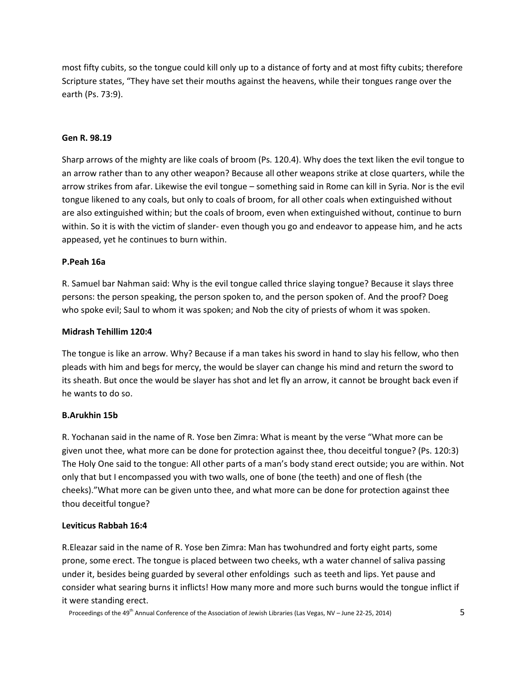most fifty cubits, so the tongue could kill only up to a distance of forty and at most fifty cubits; therefore Scripture states, "They have set their mouths against the heavens, while their tongues range over the earth (Ps. 73:9).

#### **Gen R. 98.19**

Sharp arrows of the mighty are like coals of broom (Ps. 120.4). Why does the text liken the evil tongue to an arrow rather than to any other weapon? Because all other weapons strike at close quarters, while the arrow strikes from afar. Likewise the evil tongue – something said in Rome can kill in Syria. Nor is the evil tongue likened to any coals, but only to coals of broom, for all other coals when extinguished without are also extinguished within; but the coals of broom, even when extinguished without, continue to burn within. So it is with the victim of slander- even though you go and endeavor to appease him, and he acts appeased, yet he continues to burn within.

## **P.Peah 16a**

R. Samuel bar Nahman said: Why is the evil tongue called thrice slaying tongue? Because it slays three persons: the person speaking, the person spoken to, and the person spoken of. And the proof? Doeg who spoke evil; Saul to whom it was spoken; and Nob the city of priests of whom it was spoken.

## **Midrash Tehillim 120:4**

The tongue is like an arrow. Why? Because if a man takes his sword in hand to slay his fellow, who then pleads with him and begs for mercy, the would be slayer can change his mind and return the sword to its sheath. But once the would be slayer has shot and let fly an arrow, it cannot be brought back even if he wants to do so.

#### **B.Arukhin 15b**

R. Yochanan said in the name of R. Yose ben Zimra: What is meant by the verse "What more can be given unot thee, what more can be done for protection against thee, thou deceitful tongue? (Ps. 120:3) The Holy One said to the tongue: All other parts of a man's body stand erect outside; you are within. Not only that but I encompassed you with two walls, one of bone (the teeth) and one of flesh (the cheeks)."What more can be given unto thee, and what more can be done for protection against thee thou deceitful tongue?

#### **Leviticus Rabbah 16:4**

R.Eleazar said in the name of R. Yose ben Zimra: Man has twohundred and forty eight parts, some prone, some erect. The tongue is placed between two cheeks, wth a water channel of saliva passing under it, besides being guarded by several other enfoldings such as teeth and lips. Yet pause and consider what searing burns it inflicts! How many more and more such burns would the tongue inflict if it were standing erect.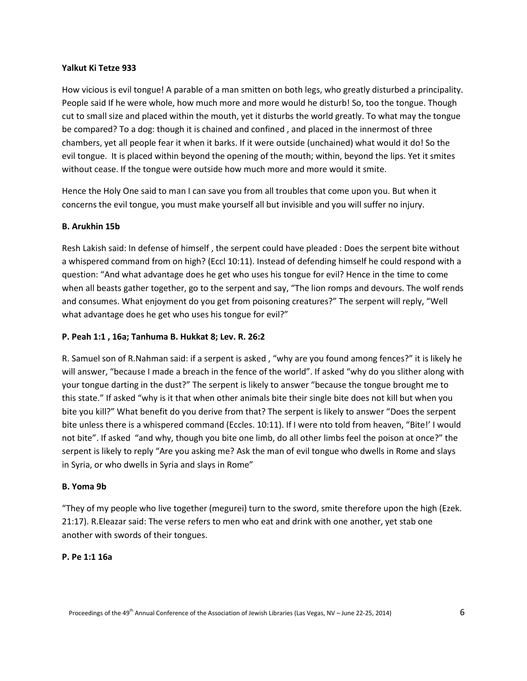## **Yalkut Ki Tetze 933**

How vicious is evil tongue! A parable of a man smitten on both legs, who greatly disturbed a principality. People said If he were whole, how much more and more would he disturb! So, too the tongue. Though cut to small size and placed within the mouth, yet it disturbs the world greatly. To what may the tongue be compared? To a dog: though it is chained and confined , and placed in the innermost of three chambers, yet all people fear it when it barks. If it were outside (unchained) what would it do! So the evil tongue. It is placed within beyond the opening of the mouth; within, beyond the lips. Yet it smites without cease. If the tongue were outside how much more and more would it smite.

Hence the Holy One said to man I can save you from all troubles that come upon you. But when it concerns the evil tongue, you must make yourself all but invisible and you will suffer no injury.

## **B. Arukhin 15b**

Resh Lakish said: In defense of himself , the serpent could have pleaded : Does the serpent bite without a whispered command from on high? (Eccl 10:11). Instead of defending himself he could respond with a question: "And what advantage does he get who uses his tongue for evil? Hence in the time to come when all beasts gather together, go to the serpent and say, "The lion romps and devours. The wolf rends and consumes. What enjoyment do you get from poisoning creatures?" The serpent will reply, "Well what advantage does he get who uses his tongue for evil?"

## **P. Peah 1:1 , 16a; Tanhuma B. Hukkat 8; Lev. R. 26:2**

R. Samuel son of R.Nahman said: if a serpent is asked , "why are you found among fences?" it is likely he will answer, "because I made a breach in the fence of the world". If asked "why do you slither along with your tongue darting in the dust?" The serpent is likely to answer "because the tongue brought me to this state." If asked "why is it that when other animals bite their single bite does not kill but when you bite you kill?" What benefit do you derive from that? The serpent is likely to answer "Does the serpent bite unless there is a whispered command (Eccles. 10:11). If I were nto told from heaven, "Bite!' I would not bite". If asked "and why, though you bite one limb, do all other limbs feel the poison at once?" the serpent is likely to reply "Are you asking me? Ask the man of evil tongue who dwells in Rome and slays in Syria, or who dwells in Syria and slays in Rome"

#### **B. Yoma 9b**

"They of my people who live together (megurei) turn to the sword, smite therefore upon the high (Ezek. 21:17). R.Eleazar said: The verse refers to men who eat and drink with one another, yet stab one another with swords of their tongues.

#### **P. Pe 1:1 16a**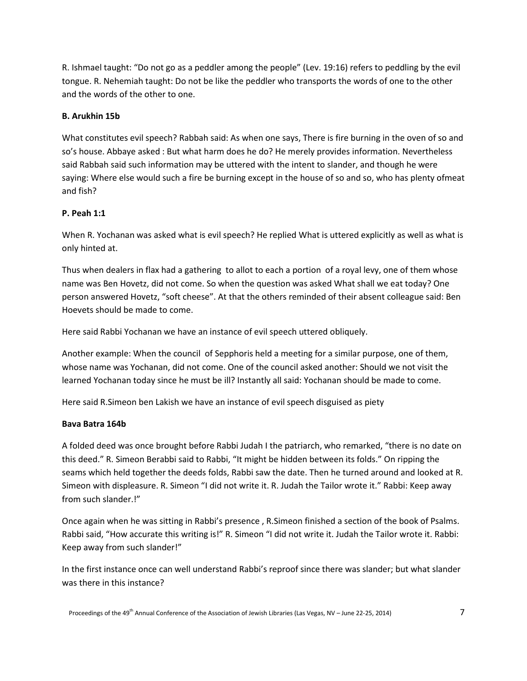R. Ishmael taught: "Do not go as a peddler among the people" (Lev. 19:16) refers to peddling by the evil tongue. R. Nehemiah taught: Do not be like the peddler who transports the words of one to the other and the words of the other to one.

## **B. Arukhin 15b**

What constitutes evil speech? Rabbah said: As when one says, There is fire burning in the oven of so and so's house. Abbaye asked : But what harm does he do? He merely provides information. Nevertheless said Rabbah said such information may be uttered with the intent to slander, and though he were saying: Where else would such a fire be burning except in the house of so and so, who has plenty ofmeat and fish?

## **P. Peah 1:1**

When R. Yochanan was asked what is evil speech? He replied What is uttered explicitly as well as what is only hinted at.

Thus when dealers in flax had a gathering to allot to each a portion of a royal levy, one of them whose name was Ben Hovetz, did not come. So when the question was asked What shall we eat today? One person answered Hovetz, "soft cheese". At that the others reminded of their absent colleague said: Ben Hoevets should be made to come.

Here said Rabbi Yochanan we have an instance of evil speech uttered obliquely.

Another example: When the council of Sepphoris held a meeting for a similar purpose, one of them, whose name was Yochanan, did not come. One of the council asked another: Should we not visit the learned Yochanan today since he must be ill? Instantly all said: Yochanan should be made to come.

Here said R.Simeon ben Lakish we have an instance of evil speech disguised as piety

## **Bava Batra 164b**

A folded deed was once brought before Rabbi Judah I the patriarch, who remarked, "there is no date on this deed." R. Simeon Berabbi said to Rabbi, "It might be hidden between its folds." On ripping the seams which held together the deeds folds, Rabbi saw the date. Then he turned around and looked at R. Simeon with displeasure. R. Simeon "I did not write it. R. Judah the Tailor wrote it." Rabbi: Keep away from such slander.!"

Once again when he was sitting in Rabbi's presence , R.Simeon finished a section of the book of Psalms. Rabbi said, "How accurate this writing is!" R. Simeon "I did not write it. Judah the Tailor wrote it. Rabbi: Keep away from such slander!"

In the first instance once can well understand Rabbi's reproof since there was slander; but what slander was there in this instance?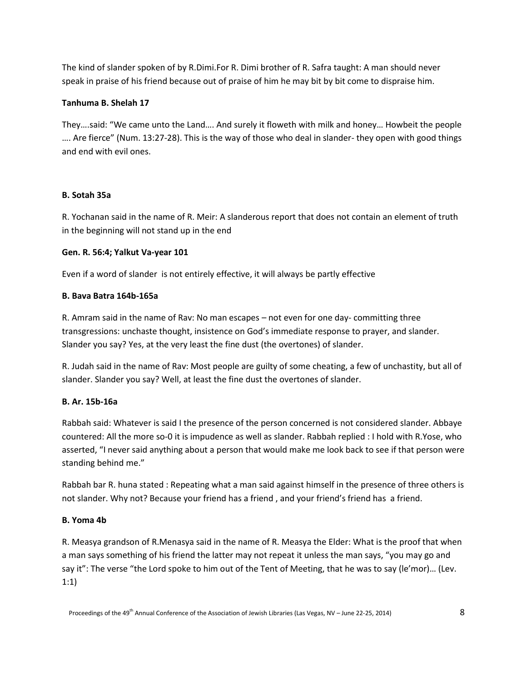The kind of slander spoken of by R.Dimi.For R. Dimi brother of R. Safra taught: A man should never speak in praise of his friend because out of praise of him he may bit by bit come to dispraise him.

## **Tanhuma B. Shelah 17**

They….said: "We came unto the Land…. And surely it floweth with milk and honey… Howbeit the people …. Are fierce" (Num. 13:27-28). This is the way of those who deal in slander- they open with good things and end with evil ones.

## **B. Sotah 35a**

R. Yochanan said in the name of R. Meir: A slanderous report that does not contain an element of truth in the beginning will not stand up in the end

## **Gen. R. 56:4; Yalkut Va-year 101**

Even if a word of slander is not entirely effective, it will always be partly effective

## **B. Bava Batra 164b-165a**

R. Amram said in the name of Rav: No man escapes – not even for one day- committing three transgressions: unchaste thought, insistence on God's immediate response to prayer, and slander. Slander you say? Yes, at the very least the fine dust (the overtones) of slander.

R. Judah said in the name of Rav: Most people are guilty of some cheating, a few of unchastity, but all of slander. Slander you say? Well, at least the fine dust the overtones of slander.

## **B. Ar. 15b-16a**

Rabbah said: Whatever is said I the presence of the person concerned is not considered slander. Abbaye countered: All the more so-0 it is impudence as well as slander. Rabbah replied : I hold with R.Yose, who asserted, "I never said anything about a person that would make me look back to see if that person were standing behind me."

Rabbah bar R. huna stated : Repeating what a man said against himself in the presence of three others is not slander. Why not? Because your friend has a friend , and your friend's friend has a friend.

## **B. Yoma 4b**

R. Measya grandson of R.Menasya said in the name of R. Measya the Elder: What is the proof that when a man says something of his friend the latter may not repeat it unless the man says, "you may go and say it": The verse "the Lord spoke to him out of the Tent of Meeting, that he was to say (le'mor)... (Lev. 1:1)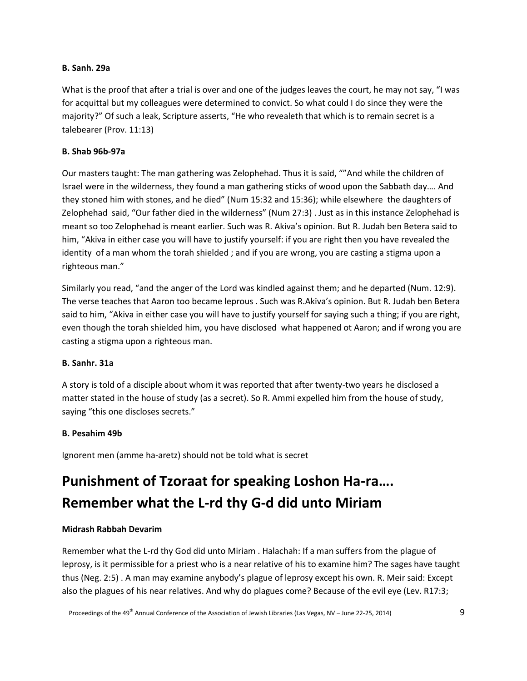## **B. Sanh. 29a**

What is the proof that after a trial is over and one of the judges leaves the court, he may not say, "I was for acquittal but my colleagues were determined to convict. So what could I do since they were the majority?" Of such a leak, Scripture asserts, "He who revealeth that which is to remain secret is a talebearer (Prov. 11:13)

## **B. Shab 96b-97a**

Our masters taught: The man gathering was Zelophehad. Thus it is said, ""And while the children of Israel were in the wilderness, they found a man gathering sticks of wood upon the Sabbath day…. And they stoned him with stones, and he died" (Num 15:32 and 15:36); while elsewhere the daughters of Zelophehad said, "Our father died in the wilderness" (Num 27:3) . Just as in this instance Zelophehad is meant so too Zelophehad is meant earlier. Such was R. Akiva's opinion. But R. Judah ben Betera said to him, "Akiva in either case you will have to justify yourself: if you are right then you have revealed the identity of a man whom the torah shielded ; and if you are wrong, you are casting a stigma upon a righteous man."

Similarly you read, "and the anger of the Lord was kindled against them; and he departed (Num. 12:9). The verse teaches that Aaron too became leprous . Such was R.Akiva's opinion. But R. Judah ben Betera said to him, "Akiva in either case you will have to justify yourself for saying such a thing; if you are right, even though the torah shielded him, you have disclosed what happened ot Aaron; and if wrong you are casting a stigma upon a righteous man.

## **B. Sanhr. 31a**

A story is told of a disciple about whom it was reported that after twenty-two years he disclosed a matter stated in the house of study (as a secret). So R. Ammi expelled him from the house of study, saying "this one discloses secrets."

## **B. Pesahim 49b**

Ignorent men (amme ha-aretz) should not be told what is secret

# **Punishment of Tzoraat for speaking Loshon Ha-ra…. Remember what the L-rd thy G-d did unto Miriam**

## **Midrash Rabbah Devarim**

Remember what the L-rd thy God did unto Miriam . Halachah: If a man suffers from the plague of leprosy, is it permissible for a priest who is a near relative of his to examine him? The sages have taught thus (Neg. 2:5) . A man may examine anybody's plague of leprosy except his own. R. Meir said: Except also the plagues of his near relatives. And why do plagues come? Because of the evil eye (Lev. R17:3;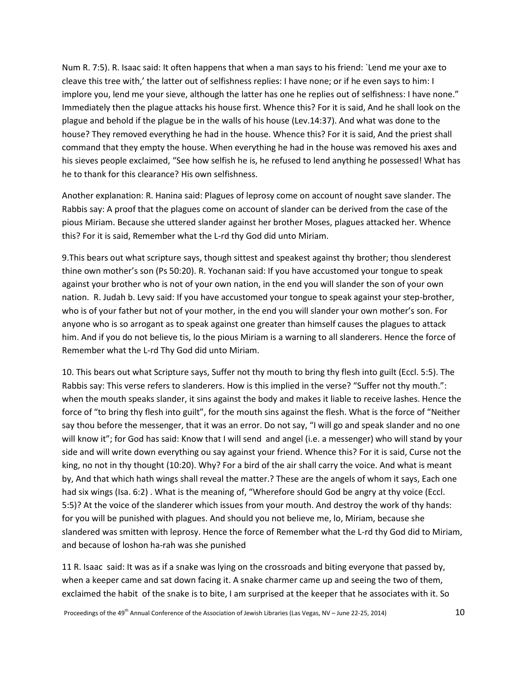Num R. 7:5). R. Isaac said: It often happens that when a man says to his friend: `Lend me your axe to cleave this tree with,' the latter out of selfishness replies: I have none; or if he even says to him: I implore you, lend me your sieve, although the latter has one he replies out of selfishness: I have none." Immediately then the plague attacks his house first. Whence this? For it is said, And he shall look on the plague and behold if the plague be in the walls of his house (Lev.14:37). And what was done to the house? They removed everything he had in the house. Whence this? For it is said, And the priest shall command that they empty the house. When everything he had in the house was removed his axes and his sieves people exclaimed, "See how selfish he is, he refused to lend anything he possessed! What has he to thank for this clearance? His own selfishness.

Another explanation: R. Hanina said: Plagues of leprosy come on account of nought save slander. The Rabbis say: A proof that the plagues come on account of slander can be derived from the case of the pious Miriam. Because she uttered slander against her brother Moses, plagues attacked her. Whence this? For it is said, Remember what the L-rd thy God did unto Miriam.

9.This bears out what scripture says, though sittest and speakest against thy brother; thou slenderest thine own mother's son (Ps 50:20). R. Yochanan said: If you have accustomed your tongue to speak against your brother who is not of your own nation, in the end you will slander the son of your own nation. R. Judah b. Levy said: If you have accustomed your tongue to speak against your step-brother, who is of your father but not of your mother, in the end you will slander your own mother's son. For anyone who is so arrogant as to speak against one greater than himself causes the plagues to attack him. And if you do not believe tis, lo the pious Miriam is a warning to all slanderers. Hence the force of Remember what the L-rd Thy God did unto Miriam.

10. This bears out what Scripture says, Suffer not thy mouth to bring thy flesh into guilt (Eccl. 5:5). The Rabbis say: This verse refers to slanderers. How is this implied in the verse? "Suffer not thy mouth.": when the mouth speaks slander, it sins against the body and makes it liable to receive lashes. Hence the force of "to bring thy flesh into guilt", for the mouth sins against the flesh. What is the force of "Neither say thou before the messenger, that it was an error. Do not say, "I will go and speak slander and no one will know it"; for God has said: Know that I will send and angel (i.e. a messenger) who will stand by your side and will write down everything ou say against your friend. Whence this? For it is said, Curse not the king, no not in thy thought (10:20). Why? For a bird of the air shall carry the voice. And what is meant by, And that which hath wings shall reveal the matter.? These are the angels of whom it says, Each one had six wings (Isa. 6:2). What is the meaning of, "Wherefore should God be angry at thy voice (Eccl. 5:5)? At the voice of the slanderer which issues from your mouth. And destroy the work of thy hands: for you will be punished with plagues. And should you not believe me, lo, Miriam, because she slandered was smitten with leprosy. Hence the force of Remember what the L-rd thy God did to Miriam, and because of loshon ha-rah was she punished

11 R. Isaac said: It was as if a snake was lying on the crossroads and biting everyone that passed by, when a keeper came and sat down facing it. A snake charmer came up and seeing the two of them, exclaimed the habit of the snake is to bite, I am surprised at the keeper that he associates with it. So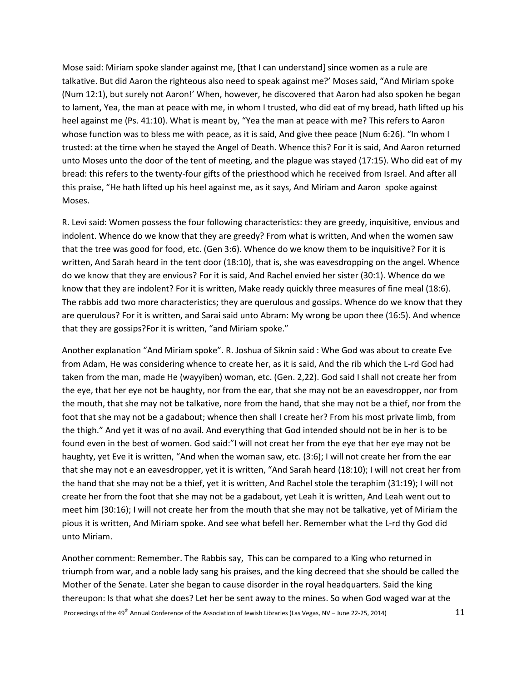Mose said: Miriam spoke slander against me, [that I can understand] since women as a rule are talkative. But did Aaron the righteous also need to speak against me?' Moses said, "And Miriam spoke (Num 12:1), but surely not Aaron!' When, however, he discovered that Aaron had also spoken he began to lament, Yea, the man at peace with me, in whom I trusted, who did eat of my bread, hath lifted up his heel against me (Ps. 41:10). What is meant by, "Yea the man at peace with me? This refers to Aaron whose function was to bless me with peace, as it is said, And give thee peace (Num 6:26). "In whom I trusted: at the time when he stayed the Angel of Death. Whence this? For it is said, And Aaron returned unto Moses unto the door of the tent of meeting, and the plague was stayed (17:15). Who did eat of my bread: this refers to the twenty-four gifts of the priesthood which he received from Israel. And after all this praise, "He hath lifted up his heel against me, as it says, And Miriam and Aaron spoke against Moses.

R. Levi said: Women possess the four following characteristics: they are greedy, inquisitive, envious and indolent. Whence do we know that they are greedy? From what is written, And when the women saw that the tree was good for food, etc. (Gen 3:6). Whence do we know them to be inquisitive? For it is written, And Sarah heard in the tent door (18:10), that is, she was eavesdropping on the angel. Whence do we know that they are envious? For it is said, And Rachel envied her sister (30:1). Whence do we know that they are indolent? For it is written, Make ready quickly three measures of fine meal (18:6). The rabbis add two more characteristics; they are querulous and gossips. Whence do we know that they are querulous? For it is written, and Sarai said unto Abram: My wrong be upon thee (16:5). And whence that they are gossips?For it is written, "and Miriam spoke."

Another explanation "And Miriam spoke". R. Joshua of Siknin said : Whe God was about to create Eve from Adam, He was considering whence to create her, as it is said, And the rib which the L-rd God had taken from the man, made He (wayyiben) woman, etc. (Gen. 2,22). God said I shall not create her from the eye, that her eye not be haughty, nor from the ear, that she may not be an eavesdropper, nor from the mouth, that she may not be talkative, nore from the hand, that she may not be a thief, nor from the foot that she may not be a gadabout; whence then shall I create her? From his most private limb, from the thigh." And yet it was of no avail. And everything that God intended should not be in her is to be found even in the best of women. God said:"I will not creat her from the eye that her eye may not be haughty, yet Eve it is written, "And when the woman saw, etc. (3:6); I will not create her from the ear that she may not e an eavesdropper, yet it is written, "And Sarah heard (18:10); I will not creat her from the hand that she may not be a thief, yet it is written, And Rachel stole the teraphim (31:19); I will not create her from the foot that she may not be a gadabout, yet Leah it is written, And Leah went out to meet him (30:16); I will not create her from the mouth that she may not be talkative, yet of Miriam the pious it is written, And Miriam spoke. And see what befell her. Remember what the L-rd thy God did unto Miriam.

Another comment: Remember. The Rabbis say, This can be compared to a King who returned in triumph from war, and a noble lady sang his praises, and the king decreed that she should be called the Mother of the Senate. Later she began to cause disorder in the royal headquarters. Said the king thereupon: Is that what she does? Let her be sent away to the mines. So when God waged war at the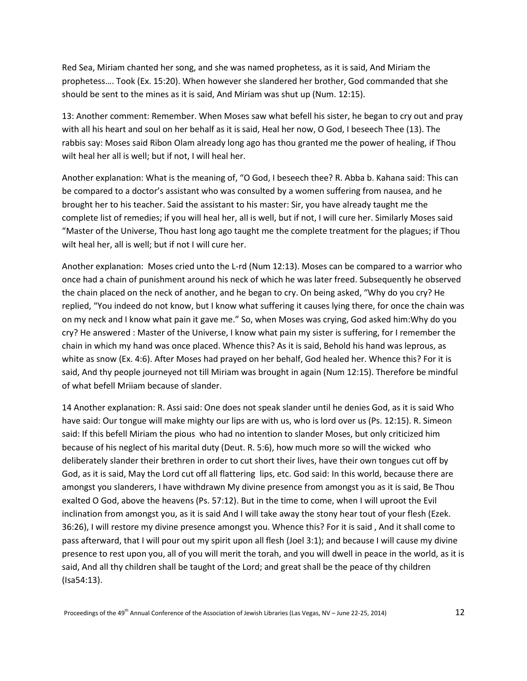Red Sea, Miriam chanted her song, and she was named prophetess, as it is said, And Miriam the prophetess…. Took (Ex. 15:20). When however she slandered her brother, God commanded that she should be sent to the mines as it is said, And Miriam was shut up (Num. 12:15).

13: Another comment: Remember. When Moses saw what befell his sister, he began to cry out and pray with all his heart and soul on her behalf as it is said, Heal her now, O God, I beseech Thee (13). The rabbis say: Moses said Ribon Olam already long ago has thou granted me the power of healing, if Thou wilt heal her all is well; but if not, I will heal her.

Another explanation: What is the meaning of, "O God, I beseech thee? R. Abba b. Kahana said: This can be compared to a doctor's assistant who was consulted by a women suffering from nausea, and he brought her to his teacher. Said the assistant to his master: Sir, you have already taught me the complete list of remedies; if you will heal her, all is well, but if not, I will cure her. Similarly Moses said "Master of the Universe, Thou hast long ago taught me the complete treatment for the plagues; if Thou wilt heal her, all is well; but if not I will cure her.

Another explanation: Moses cried unto the L-rd (Num 12:13). Moses can be compared to a warrior who once had a chain of punishment around his neck of which he was later freed. Subsequently he observed the chain placed on the neck of another, and he began to cry. On being asked, "Why do you cry? He replied, "You indeed do not know, but I know what suffering it causes lying there, for once the chain was on my neck and I know what pain it gave me." So, when Moses was crying, God asked him:Why do you cry? He answered : Master of the Universe, I know what pain my sister is suffering, for I remember the chain in which my hand was once placed. Whence this? As it is said, Behold his hand was leprous, as white as snow (Ex. 4:6). After Moses had prayed on her behalf, God healed her. Whence this? For it is said, And thy people journeyed not till Miriam was brought in again (Num 12:15). Therefore be mindful of what befell Mriiam because of slander.

14 Another explanation: R. Assi said: One does not speak slander until he denies God, as it is said Who have said: Our tongue will make mighty our lips are with us, who is lord over us (Ps. 12:15). R. Simeon said: If this befell Miriam the pious who had no intention to slander Moses, but only criticized him because of his neglect of his marital duty (Deut. R. 5:6), how much more so will the wicked who deliberately slander their brethren in order to cut short their lives, have their own tongues cut off by God, as it is said, May the Lord cut off all flattering lips, etc. God said: In this world, because there are amongst you slanderers, I have withdrawn My divine presence from amongst you as it is said, Be Thou exalted O God, above the heavens (Ps. 57:12). But in the time to come, when I will uproot the Evil inclination from amongst you, as it is said And I will take away the stony hear tout of your flesh (Ezek. 36:26), I will restore my divine presence amongst you. Whence this? For it is said , And it shall come to pass afterward, that I will pour out my spirit upon all flesh (Joel 3:1); and because I will cause my divine presence to rest upon you, all of you will merit the torah, and you will dwell in peace in the world, as it is said, And all thy children shall be taught of the Lord; and great shall be the peace of thy children (Isa54:13).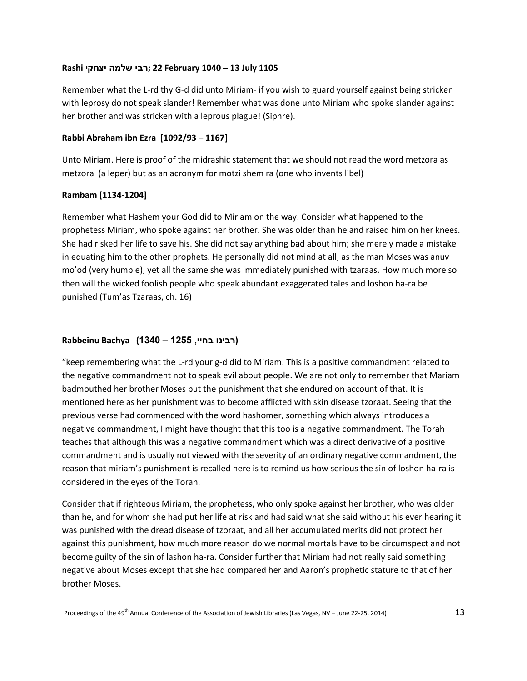## **1105 July 13 – 1040 February 22; רבי שלמה יצחקי Rashi**

Remember what the L-rd thy G-d did unto Miriam- if you wish to guard yourself against being stricken with leprosy do not speak slander! Remember what was done unto Miriam who spoke slander against her brother and was stricken with a leprous plague! (Siphre).

## **Rabbi Abraham ibn Ezra [1092/93 – 1167]**

Unto Miriam. Here is proof of the midrashic statement that we should not read the word metzora as metzora (a leper) but as an acronym for motzi shem ra (one who invents libel)

## **Rambam [1134-1204]**

Remember what Hashem your God did to Miriam on the way. Consider what happened to the prophetess Miriam, who spoke against her brother. She was older than he and raised him on her knees. She had risked her life to save his. She did not say anything bad about him; she merely made a mistake in equating him to the other prophets. He personally did not mind at all, as the man Moses was anuv mo'od (very humble), yet all the same she was immediately punished with tzaraas. How much more so then will the wicked foolish people who speak abundant exaggerated tales and loshon ha-ra be punished (Tum'as Tzaraas, ch. 16)

## **(רבינו בחיי, 1255 – 1340) Bachya Rabbeinu**

"keep remembering what the L-rd your g-d did to Miriam. This is a positive commandment related to the negative commandment not to speak evil about people. We are not only to remember that Mariam badmouthed her brother Moses but the punishment that she endured on account of that. It is mentioned here as her punishment was to become afflicted with skin disease tzoraat. Seeing that the previous verse had commenced with the word hashomer, something which always introduces a negative commandment, I might have thought that this too is a negative commandment. The Torah teaches that although this was a negative commandment which was a direct derivative of a positive commandment and is usually not viewed with the severity of an ordinary negative commandment, the reason that miriam's punishment is recalled here is to remind us how serious the sin of loshon ha-ra is considered in the eyes of the Torah.

Consider that if righteous Miriam, the prophetess, who only spoke against her brother, who was older than he, and for whom she had put her life at risk and had said what she said without his ever hearing it was punished with the dread disease of tzoraat, and all her accumulated merits did not protect her against this punishment, how much more reason do we normal mortals have to be circumspect and not become guilty of the sin of lashon ha-ra. Consider further that Miriam had not really said something negative about Moses except that she had compared her and Aaron's prophetic stature to that of her brother Moses.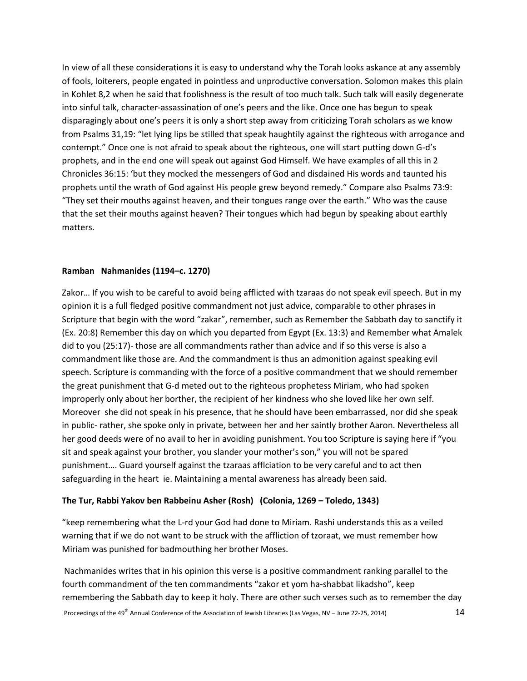In view of all these considerations it is easy to understand why the Torah looks askance at any assembly of fools, loiterers, people engated in pointless and unproductive conversation. Solomon makes this plain in Kohlet 8,2 when he said that foolishness is the result of too much talk. Such talk will easily degenerate into sinful talk, character-assassination of one's peers and the like. Once one has begun to speak disparagingly about one's peers it is only a short step away from criticizing Torah scholars as we know from Psalms 31,19: "let lying lips be stilled that speak haughtily against the righteous with arrogance and contempt." Once one is not afraid to speak about the righteous, one will start putting down G-d's prophets, and in the end one will speak out against God Himself. We have examples of all this in 2 Chronicles 36:15: 'but they mocked the messengers of God and disdained His words and taunted his prophets until the wrath of God against His people grew beyond remedy." Compare also Psalms 73:9: "They set their mouths against heaven, and their tongues range over the earth." Who was the cause that the set their mouths against heaven? Their tongues which had begun by speaking about earthly matters.

## **Ramban Nahmanides (1194–c. 1270)**

Zakor… If you wish to be careful to avoid being afflicted with tzaraas do not speak evil speech. But in my opinion it is a full fledged positive commandment not just advice, comparable to other phrases in Scripture that begin with the word "zakar", remember, such as Remember the Sabbath day to sanctify it (Ex. 20:8) Remember this day on which you departed from Egypt (Ex. 13:3) and Remember what Amalek did to you (25:17)- those are all commandments rather than advice and if so this verse is also a commandment like those are. And the commandment is thus an admonition against speaking evil speech. Scripture is commanding with the force of a positive commandment that we should remember the great punishment that G-d meted out to the righteous prophetess Miriam, who had spoken improperly only about her borther, the recipient of her kindness who she loved like her own self. Moreover she did not speak in his presence, that he should have been embarrassed, nor did she speak in public- rather, she spoke only in private, between her and her saintly brother Aaron. Nevertheless all her good deeds were of no avail to her in avoiding punishment. You too Scripture is saying here if "you sit and speak against your brother, you slander your mother's son," you will not be spared punishment…. Guard yourself against the tzaraas afflciation to be very careful and to act then safeguarding in the heart ie. Maintaining a mental awareness has already been said.

## **The Tur, Rabbi Yakov ben Rabbeinu Asher (Rosh) (Colonia, 1269 – Toledo, 1343)**

"keep remembering what the L-rd your God had done to Miriam. Rashi understands this as a veiled warning that if we do not want to be struck with the affliction of tzoraat, we must remember how Miriam was punished for badmouthing her brother Moses.

Nachmanides writes that in his opinion this verse is a positive commandment ranking parallel to the fourth commandment of the ten commandments "zakor et yom ha-shabbat likadsho", keep remembering the Sabbath day to keep it holy. There are other such verses such as to remember the day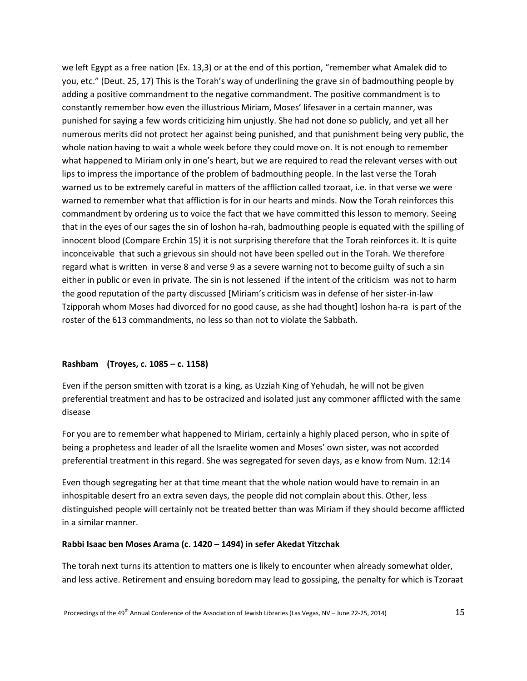we left Egypt as a free nation (Ex. 13,3) or at the end of this portion, "remember what Amalek did to you, etc." (Deut. 25, 17) This is the Torah's way of underlining the grave sin of badmouthing people by adding a positive commandment to the negative commandment. The positive commandment is to constantly remember how even the illustrious Miriam, Moses' lifesaver in a certain manner, was punished for saying a few words criticizing him unjustly. She had not done so publicly, and yet all her numerous merits did not protect her against being punished, and that punishment being very public, the whole nation having to wait a whole week before they could move on. It is not enough to remember what happened to Miriam only in one's heart, but we are required to read the relevant verses with out lips to impress the importance of the problem of badmouthing people. In the last verse the Torah warned us to be extremely careful in matters of the affliction called tzoraat, i.e. in that verse we were warned to remember what that affliction is for in our hearts and minds. Now the Torah reinforces this commandment by ordering us to voice the fact that we have committed this lesson to memory. Seeing that in the eyes of our sages the sin of loshon ha-rah, badmouthing people is equated with the spilling of innocent blood (Compare Erchin 15) it is not surprising therefore that the Torah reinforces it. It is quite inconceivable that such a grievous sin should not have been spelled out in the Torah. We therefore regard what is written in verse 8 and verse 9 as a severe warning not to become guilty of such a sin either in public or even in private. The sin is not lessened if the intent of the criticism was not to harm the good reputation of the party discussed [Miriam's criticism was in defense of her sister-in-law Tzipporah whom Moses had divorced for no good cause, as she had thought] loshon ha-ra is part of the roster of the 613 commandments, no less so than not to violate the Sabbath.

#### **Rashbam (Troyes, c. 1085 – c. 1158)**

Even if the person smitten with tzorat is a king, as Uzziah King of Yehudah, he will not be given preferential treatment and has to be ostracized and isolated just any commoner afflicted with the same disease

For you are to remember what happened to Miriam, certainly a highly placed person, who in spite of being a prophetess and leader of all the Israelite women and Moses' own sister, was not accorded preferential treatment in this regard. She was segregated for seven days, as e know from Num. 12:14

Even though segregating her at that time meant that the whole nation would have to remain in an inhospitable desert fro an extra seven days, the people did not complain about this. Other, less distinguished people will certainly not be treated better than was Miriam if they should become afflicted in a similar manner.

#### **Rabbi Isaac ben Moses Arama (c. 1420 – 1494) in sefer Akedat Yitzchak**

The torah next turns its attention to matters one is likely to encounter when already somewhat older, and less active. Retirement and ensuing boredom may lead to gossiping, the penalty for which is Tzoraat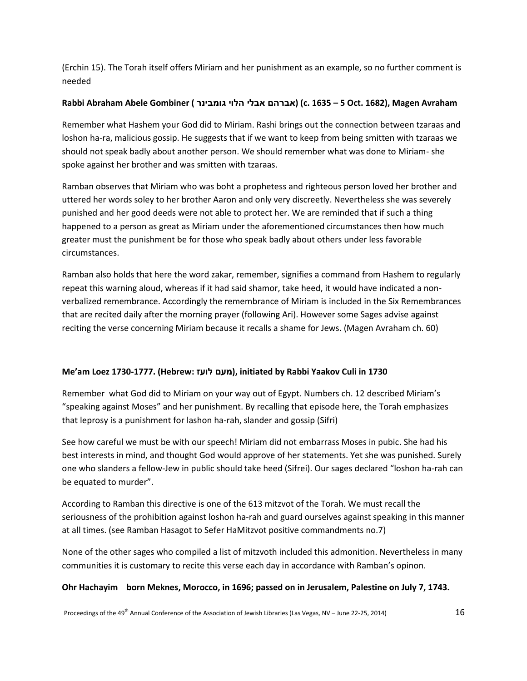(Erchin 15). The Torah itself offers Miriam and her punishment as an example, so no further comment is needed

## **Rabbi Abraham Abele Gombiner ( גומבינר הלוי אבלי אברהם) (c. 1635 – 5 Oct. 1682), Magen Avraham**

Remember what Hashem your God did to Miriam. Rashi brings out the connection between tzaraas and loshon ha-ra, malicious gossip. He suggests that if we want to keep from being smitten with tzaraas we should not speak badly about another person. We should remember what was done to Miriam- she spoke against her brother and was smitten with tzaraas.

Ramban observes that Miriam who was boht a prophetess and righteous person loved her brother and uttered her words soley to her brother Aaron and only very discreetly. Nevertheless she was severely punished and her good deeds were not able to protect her. We are reminded that if such a thing happened to a person as great as Miriam under the aforementioned circumstances then how much greater must the punishment be for those who speak badly about others under less favorable circumstances.

Ramban also holds that here the word zakar, remember, signifies a command from Hashem to regularly repeat this warning aloud, whereas if it had said shamor, take heed, it would have indicated a nonverbalized remembrance. Accordingly the remembrance of Miriam is included in the Six Remembrances that are recited daily after the morning prayer (following Ari). However some Sages advise against reciting the verse concerning Miriam because it recalls a shame for Jews. (Magen Avraham ch. 60)

## **Me'am Loez 1730-1777. (Hebrew: לועז מעם(, initiated by Rabbi Yaakov Culi in 1730**

Remember what God did to Miriam on your way out of Egypt. Numbers ch. 12 described Miriam's "speaking against Moses" and her punishment. By recalling that episode here, the Torah emphasizes that leprosy is a punishment for lashon ha-rah, slander and gossip (Sifri)

See how careful we must be with our speech! Miriam did not embarrass Moses in pubic. She had his best interests in mind, and thought God would approve of her statements. Yet she was punished. Surely one who slanders a fellow-Jew in public should take heed (Sifrei). Our sages declared "loshon ha-rah can be equated to murder".

According to Ramban this directive is one of the 613 mitzvot of the Torah. We must recall the seriousness of the prohibition against loshon ha-rah and guard ourselves against speaking in this manner at all times. (see Ramban Hasagot to Sefer HaMitzvot positive commandments no.7)

None of the other sages who compiled a list of mitzvoth included this admonition. Nevertheless in many communities it is customary to recite this verse each day in accordance with Ramban's opinon.

## **Ohr Hachayim born Meknes, Morocco, in 1696; passed on in Jerusalem, Palestine on July 7, 1743.**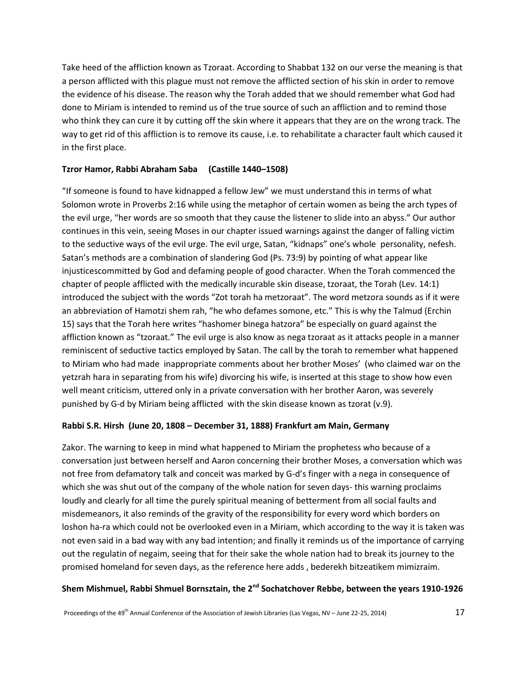Take heed of the affliction known as Tzoraat. According to Shabbat 132 on our verse the meaning is that a person afflicted with this plague must not remove the afflicted section of his skin in order to remove the evidence of his disease. The reason why the Torah added that we should remember what God had done to Miriam is intended to remind us of the true source of such an affliction and to remind those who think they can cure it by cutting off the skin where it appears that they are on the wrong track. The way to get rid of this affliction is to remove its cause, i.e. to rehabilitate a character fault which caused it in the first place.

## **Tzror Hamor, Rabbi Abraham Saba (Castille 1440–1508)**

"If someone is found to have kidnapped a fellow Jew" we must understand this in terms of what Solomon wrote in Proverbs 2:16 while using the metaphor of certain women as being the arch types of the evil urge, "her words are so smooth that they cause the listener to slide into an abyss." Our author continues in this vein, seeing Moses in our chapter issued warnings against the danger of falling victim to the seductive ways of the evil urge. The evil urge, Satan, "kidnaps" one's whole personality, nefesh. Satan's methods are a combination of slandering God (Ps. 73:9) by pointing of what appear like injusticescommitted by God and defaming people of good character. When the Torah commenced the chapter of people afflicted with the medically incurable skin disease, tzoraat, the Torah (Lev. 14:1) introduced the subject with the words "Zot torah ha metzoraat". The word metzora sounds as if it were an abbreviation of Hamotzi shem rah, "he who defames somone, etc." This is why the Talmud (Erchin 15) says that the Torah here writes "hashomer binega hatzora" be especially on guard against the affliction known as "tzoraat." The evil urge is also know as nega tzoraat as it attacks people in a manner reminiscent of seductive tactics employed by Satan. The call by the torah to remember what happened to Miriam who had made inappropriate comments about her brother Moses' (who claimed war on the yetzrah hara in separating from his wife) divorcing his wife, is inserted at this stage to show how even well meant criticism, uttered only in a private conversation with her brother Aaron, was severely punished by G-d by Miriam being afflicted with the skin disease known as tzorat (v.9).

#### **Rabbi S.R. Hirsh (June 20, 1808 – December 31, 1888) Frankfurt am Main, Germany**

Zakor. The warning to keep in mind what happened to Miriam the prophetess who because of a conversation just between herself and Aaron concerning their brother Moses, a conversation which was not free from defamatory talk and conceit was marked by G-d's finger with a nega in consequence of which she was shut out of the company of the whole nation for seven days-this warning proclaims loudly and clearly for all time the purely spiritual meaning of betterment from all social faults and misdemeanors, it also reminds of the gravity of the responsibility for every word which borders on loshon ha-ra which could not be overlooked even in a Miriam, which according to the way it is taken was not even said in a bad way with any bad intention; and finally it reminds us of the importance of carrying out the regulatin of negaim, seeing that for their sake the whole nation had to break its journey to the promised homeland for seven days, as the reference here adds , bederekh bitzeatikem mimizraim.

# **Shem Mishmuel, Rabbi Shmuel Bornsztain, the 2nd Sochatchover Rebbe, between the years 1910-1926**

Proceedings of the 49<sup>th</sup> Annual Conference of the Association of Jewish Libraries (Las Vegas, NV – June 22-25, 2014) 17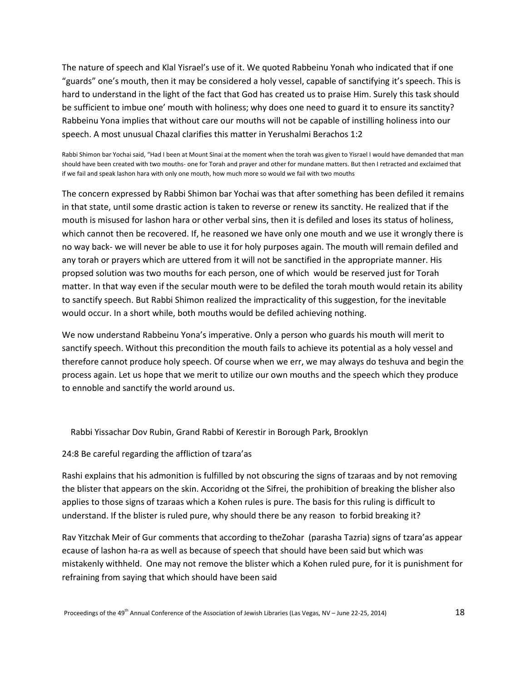The nature of speech and Klal Yisrael's use of it. We quoted Rabbeinu Yonah who indicated that if one "guards" one's mouth, then it may be considered a holy vessel, capable of sanctifying it's speech. This is hard to understand in the light of the fact that God has created us to praise Him. Surely this task should be sufficient to imbue one' mouth with holiness; why does one need to guard it to ensure its sanctity? Rabbeinu Yona implies that without care our mouths will not be capable of instilling holiness into our speech. A most unusual Chazal clarifies this matter in Yerushalmi Berachos 1:2

Rabbi Shimon bar Yochai said, "Had I been at Mount Sinai at the moment when the torah was given to Yisrael I would have demanded that man should have been created with two mouths- one for Torah and prayer and other for mundane matters. But then I retracted and exclaimed that if we fail and speak lashon hara with only one mouth, how much more so would we fail with two mouths

The concern expressed by Rabbi Shimon bar Yochai was that after something has been defiled it remains in that state, until some drastic action is taken to reverse or renew its sanctity. He realized that if the mouth is misused for lashon hara or other verbal sins, then it is defiled and loses its status of holiness, which cannot then be recovered. If, he reasoned we have only one mouth and we use it wrongly there is no way back- we will never be able to use it for holy purposes again. The mouth will remain defiled and any torah or prayers which are uttered from it will not be sanctified in the appropriate manner. His propsed solution was two mouths for each person, one of which would be reserved just for Torah matter. In that way even if the secular mouth were to be defiled the torah mouth would retain its ability to sanctify speech. But Rabbi Shimon realized the impracticality of this suggestion, for the inevitable would occur. In a short while, both mouths would be defiled achieving nothing.

We now understand Rabbeinu Yona's imperative. Only a person who guards his mouth will merit to sanctify speech. Without this precondition the mouth fails to achieve its potential as a holy vessel and therefore cannot produce holy speech. Of course when we err, we may always do teshuva and begin the process again. Let us hope that we merit to utilize our own mouths and the speech which they produce to ennoble and sanctify the world around us.

Rabbi Yissachar Dov Rubin, Grand Rabbi of Kerestir in Borough Park, Brooklyn

24:8 Be careful regarding the affliction of tzara'as

Rashi explains that his admonition is fulfilled by not obscuring the signs of tzaraas and by not removing the blister that appears on the skin. Accoridng ot the Sifrei, the prohibition of breaking the blisher also applies to those signs of tzaraas which a Kohen rules is pure. The basis for this ruling is difficult to understand. If the blister is ruled pure, why should there be any reason to forbid breaking it?

Rav Yitzchak Meir of Gur comments that according to theZohar (parasha Tazria) signs of tzara'as appear ecause of lashon ha-ra as well as because of speech that should have been said but which was mistakenly withheld. One may not remove the blister which a Kohen ruled pure, for it is punishment for refraining from saying that which should have been said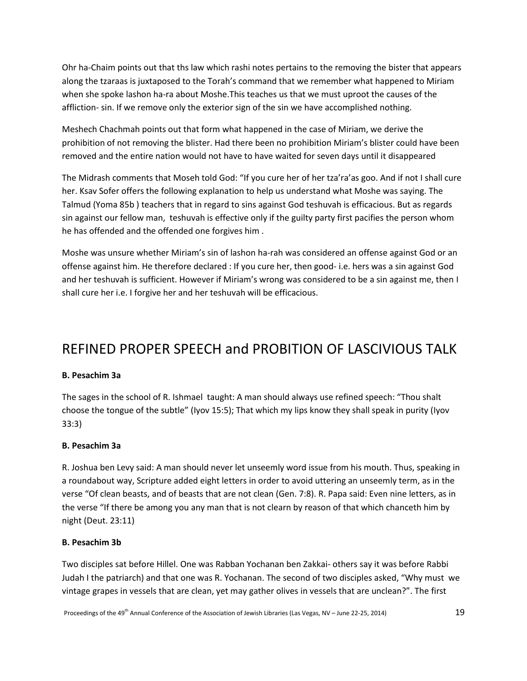Ohr ha-Chaim points out that ths law which rashi notes pertains to the removing the bister that appears along the tzaraas is juxtaposed to the Torah's command that we remember what happened to Miriam when she spoke lashon ha-ra about Moshe.This teaches us that we must uproot the causes of the affliction- sin. If we remove only the exterior sign of the sin we have accomplished nothing.

Meshech Chachmah points out that form what happened in the case of Miriam, we derive the prohibition of not removing the blister. Had there been no prohibition Miriam's blister could have been removed and the entire nation would not have to have waited for seven days until it disappeared

The Midrash comments that Moseh told God: "If you cure her of her tza'ra'as goo. And if not I shall cure her. Ksav Sofer offers the following explanation to help us understand what Moshe was saying. The Talmud (Yoma 85b ) teachers that in regard to sins against God teshuvah is efficacious. But as regards sin against our fellow man, teshuvah is effective only if the guilty party first pacifies the person whom he has offended and the offended one forgives him .

Moshe was unsure whether Miriam's sin of lashon ha-rah was considered an offense against God or an offense against him. He therefore declared : If you cure her, then good- i.e. hers was a sin against God and her teshuvah is sufficient. However if Miriam's wrong was considered to be a sin against me, then I shall cure her i.e. I forgive her and her teshuvah will be efficacious.

# REFINED PROPER SPEECH and PROBITION OF LASCIVIOUS TALK

## **B. Pesachim 3a**

The sages in the school of R. Ishmael taught: A man should always use refined speech: "Thou shalt choose the tongue of the subtle" (Iyov 15:5); That which my lips know they shall speak in purity (Iyov 33:3)

## **B. Pesachim 3a**

R. Joshua ben Levy said: A man should never let unseemly word issue from his mouth. Thus, speaking in a roundabout way, Scripture added eight letters in order to avoid uttering an unseemly term, as in the verse "Of clean beasts, and of beasts that are not clean (Gen. 7:8). R. Papa said: Even nine letters, as in the verse "If there be among you any man that is not clearn by reason of that which chanceth him by night (Deut. 23:11)

## **B. Pesachim 3b**

Two disciples sat before Hillel. One was Rabban Yochanan ben Zakkai- others say it was before Rabbi Judah I the patriarch) and that one was R. Yochanan. The second of two disciples asked, "Why must we vintage grapes in vessels that are clean, yet may gather olives in vessels that are unclean?". The first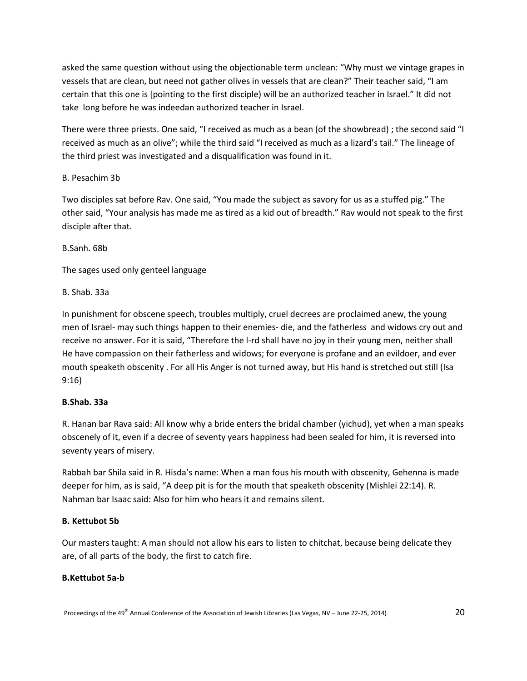asked the same question without using the objectionable term unclean: "Why must we vintage grapes in vessels that are clean, but need not gather olives in vessels that are clean?" Their teacher said, "I am certain that this one is [pointing to the first disciple) will be an authorized teacher in Israel." It did not take long before he was indeedan authorized teacher in Israel.

There were three priests. One said, "I received as much as a bean (of the showbread) ; the second said "I received as much as an olive"; while the third said "I received as much as a lizard's tail." The lineage of the third priest was investigated and a disqualification was found in it.

## B. Pesachim 3b

Two disciples sat before Rav. One said, "You made the subject as savory for us as a stuffed pig." The other said, "Your analysis has made me as tired as a kid out of breadth." Rav would not speak to the first disciple after that.

B.Sanh. 68b

The sages used only genteel language

B. Shab. 33a

In punishment for obscene speech, troubles multiply, cruel decrees are proclaimed anew, the young men of Israel- may such things happen to their enemies- die, and the fatherless and widows cry out and receive no answer. For it is said, "Therefore the l-rd shall have no joy in their young men, neither shall He have compassion on their fatherless and widows; for everyone is profane and an evildoer, and ever mouth speaketh obscenity . For all His Anger is not turned away, but His hand is stretched out still (Isa 9:16)

# **B.Shab. 33a**

R. Hanan bar Rava said: All know why a bride enters the bridal chamber (yichud), yet when a man speaks obscenely of it, even if a decree of seventy years happiness had been sealed for him, it is reversed into seventy years of misery.

Rabbah bar Shila said in R. Hisda's name: When a man fous his mouth with obscenity, Gehenna is made deeper for him, as is said, "A deep pit is for the mouth that speaketh obscenity (Mishlei 22:14). R. Nahman bar Isaac said: Also for him who hears it and remains silent.

# **B. Kettubot 5b**

Our masters taught: A man should not allow his ears to listen to chitchat, because being delicate they are, of all parts of the body, the first to catch fire.

# **B.Kettubot 5a-b**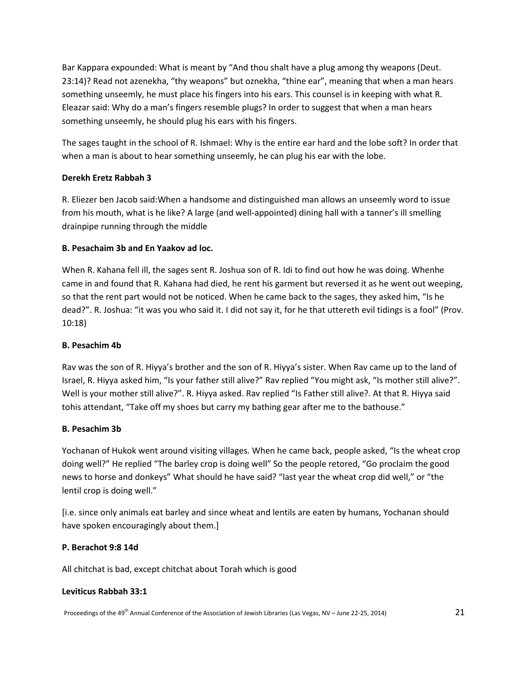Bar Kappara expounded: What is meant by "And thou shalt have a plug among thy weapons (Deut. 23:14)? Read not azenekha, "thy weapons" but oznekha, "thine ear", meaning that when a man hears something unseemly, he must place his fingers into his ears. This counsel is in keeping with what R. Eleazar said: Why do a man's fingers resemble plugs? In order to suggest that when a man hears something unseemly, he should plug his ears with his fingers.

The sages taught in the school of R. Ishmael: Why is the entire ear hard and the lobe soft? In order that when a man is about to hear something unseemly, he can plug his ear with the lobe.

## **Derekh Eretz Rabbah 3**

R. Eliezer ben Jacob said:When a handsome and distinguished man allows an unseemly word to issue from his mouth, what is he like? A large (and well-appointed) dining hall with a tanner's ill smelling drainpipe running through the middle

## **B. Pesachaim 3b and En Yaakov ad loc.**

When R. Kahana fell ill, the sages sent R. Joshua son of R. Idi to find out how he was doing. Whenhe came in and found that R. Kahana had died, he rent his garment but reversed it as he went out weeping, so that the rent part would not be noticed. When he came back to the sages, they asked him, "Is he dead?". R. Joshua: "it was you who said it. I did not say it, for he that uttereth evil tidings is a fool" (Prov. 10:18)

## **B. Pesachim 4b**

Rav was the son of R. Hiyya's brother and the son of R. Hiyya's sister. When Rav came up to the land of Israel, R. Hiyya asked him, "Is your father still alive?" Rav replied "You might ask, "Is mother still alive?". Well is your mother still alive?". R. Hiyya asked. Rav replied "Is Father still alive?. At that R. Hiyya said tohis attendant, "Take off my shoes but carry my bathing gear after me to the bathouse."

## **B. Pesachim 3b**

Yochanan of Hukok went around visiting villages. When he came back, people asked, "Is the wheat crop doing well?" He replied "The barley crop is doing well" So the people retored, "Go proclaim the good news to horse and donkeys" What should he have said? "last year the wheat crop did well," or "the lentil crop is doing well."

[i.e. since only animals eat barley and since wheat and lentils are eaten by humans, Yochanan should have spoken encouragingly about them.]

## **P. Berachot 9:8 14d**

All chitchat is bad, except chitchat about Torah which is good

## **Leviticus Rabbah 33:1**

Proceedings of the 49<sup>th</sup> Annual Conference of the Association of Jewish Libraries (Las Vegas, NV – June 22-25, 2014) 21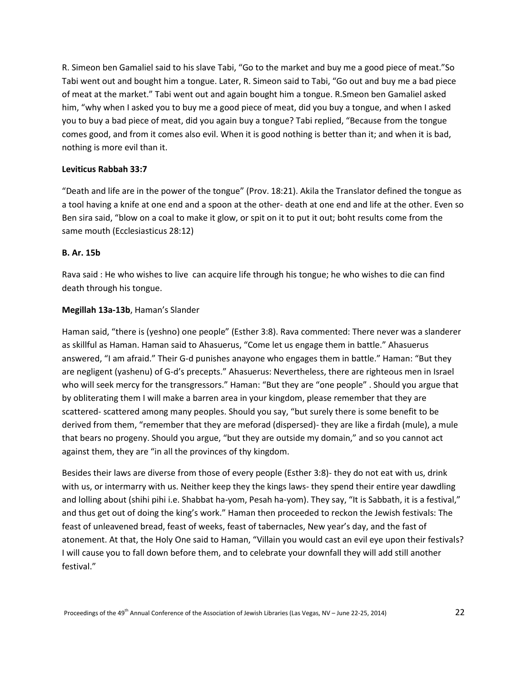R. Simeon ben Gamaliel said to his slave Tabi, "Go to the market and buy me a good piece of meat."So Tabi went out and bought him a tongue. Later, R. Simeon said to Tabi, "Go out and buy me a bad piece of meat at the market." Tabi went out and again bought him a tongue. R.Smeon ben Gamaliel asked him, "why when I asked you to buy me a good piece of meat, did you buy a tongue, and when I asked you to buy a bad piece of meat, did you again buy a tongue? Tabi replied, "Because from the tongue comes good, and from it comes also evil. When it is good nothing is better than it; and when it is bad, nothing is more evil than it.

## **Leviticus Rabbah 33:7**

"Death and life are in the power of the tongue" (Prov. 18:21). Akila the Translator defined the tongue as a tool having a knife at one end and a spoon at the other- death at one end and life at the other. Even so Ben sira said, "blow on a coal to make it glow, or spit on it to put it out; boht results come from the same mouth (Ecclesiasticus 28:12)

## **B. Ar. 15b**

Rava said : He who wishes to live can acquire life through his tongue; he who wishes to die can find death through his tongue.

## **Megillah 13a-13b**, Haman's Slander

Haman said, "there is (yeshno) one people" (Esther 3:8). Rava commented: There never was a slanderer as skillful as Haman. Haman said to Ahasuerus, "Come let us engage them in battle." Ahasuerus answered, "I am afraid." Their G-d punishes anayone who engages them in battle." Haman: "But they are negligent (yashenu) of G-d's precepts." Ahasuerus: Nevertheless, there are righteous men in Israel who will seek mercy for the transgressors." Haman: "But they are "one people" . Should you argue that by obliterating them I will make a barren area in your kingdom, please remember that they are scattered- scattered among many peoples. Should you say, "but surely there is some benefit to be derived from them, "remember that they are meforad (dispersed)- they are like a firdah (mule), a mule that bears no progeny. Should you argue, "but they are outside my domain," and so you cannot act against them, they are "in all the provinces of thy kingdom.

Besides their laws are diverse from those of every people (Esther 3:8)- they do not eat with us, drink with us, or intermarry with us. Neither keep they the kings laws- they spend their entire year dawdling and lolling about (shihi pihi i.e. Shabbat ha-yom, Pesah ha-yom). They say, "It is Sabbath, it is a festival," and thus get out of doing the king's work." Haman then proceeded to reckon the Jewish festivals: The feast of unleavened bread, feast of weeks, feast of tabernacles, New year's day, and the fast of atonement. At that, the Holy One said to Haman, "Villain you would cast an evil eye upon their festivals? I will cause you to fall down before them, and to celebrate your downfall they will add still another festival."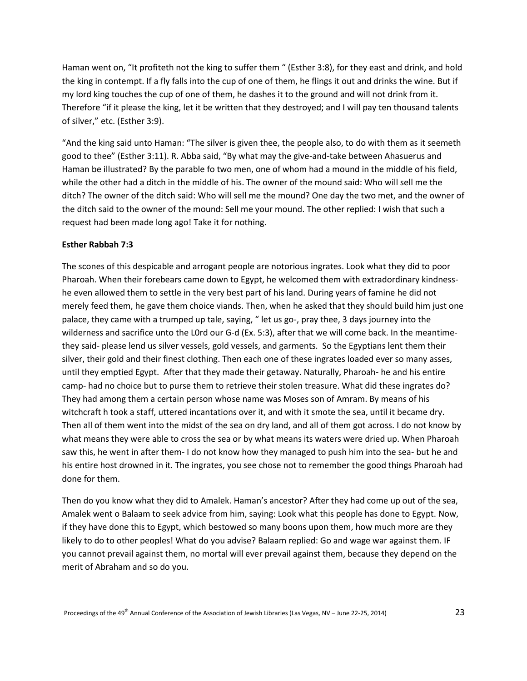Haman went on, "It profiteth not the king to suffer them " (Esther 3:8), for they east and drink, and hold the king in contempt. If a fly falls into the cup of one of them, he flings it out and drinks the wine. But if my lord king touches the cup of one of them, he dashes it to the ground and will not drink from it. Therefore "if it please the king, let it be written that they destroyed; and I will pay ten thousand talents of silver," etc. (Esther 3:9).

"And the king said unto Haman: "The silver is given thee, the people also, to do with them as it seemeth good to thee" (Esther 3:11). R. Abba said, "By what may the give-and-take between Ahasuerus and Haman be illustrated? By the parable fo two men, one of whom had a mound in the middle of his field, while the other had a ditch in the middle of his. The owner of the mound said: Who will sell me the ditch? The owner of the ditch said: Who will sell me the mound? One day the two met, and the owner of the ditch said to the owner of the mound: Sell me your mound. The other replied: I wish that such a request had been made long ago! Take it for nothing.

#### **Esther Rabbah 7:3**

The scones of this despicable and arrogant people are notorious ingrates. Look what they did to poor Pharoah. When their forebears came down to Egypt, he welcomed them with extradordinary kindnesshe even allowed them to settle in the very best part of his land. During years of famine he did not merely feed them, he gave them choice viands. Then, when he asked that they should build him just one palace, they came with a trumped up tale, saying, " let us go-, pray thee, 3 days journey into the wilderness and sacrifice unto the L0rd our G-d (Ex. 5:3), after that we will come back. In the meantimethey said- please lend us silver vessels, gold vessels, and garments. So the Egyptians lent them their silver, their gold and their finest clothing. Then each one of these ingrates loaded ever so many asses, until they emptied Egypt. After that they made their getaway. Naturally, Pharoah- he and his entire camp- had no choice but to purse them to retrieve their stolen treasure. What did these ingrates do? They had among them a certain person whose name was Moses son of Amram. By means of his witchcraft h took a staff, uttered incantations over it, and with it smote the sea, until it became dry. Then all of them went into the midst of the sea on dry land, and all of them got across. I do not know by what means they were able to cross the sea or by what means its waters were dried up. When Pharoah saw this, he went in after them- I do not know how they managed to push him into the sea- but he and his entire host drowned in it. The ingrates, you see chose not to remember the good things Pharoah had done for them.

Then do you know what they did to Amalek. Haman's ancestor? After they had come up out of the sea, Amalek went o Balaam to seek advice from him, saying: Look what this people has done to Egypt. Now, if they have done this to Egypt, which bestowed so many boons upon them, how much more are they likely to do to other peoples! What do you advise? Balaam replied: Go and wage war against them. IF you cannot prevail against them, no mortal will ever prevail against them, because they depend on the merit of Abraham and so do you.